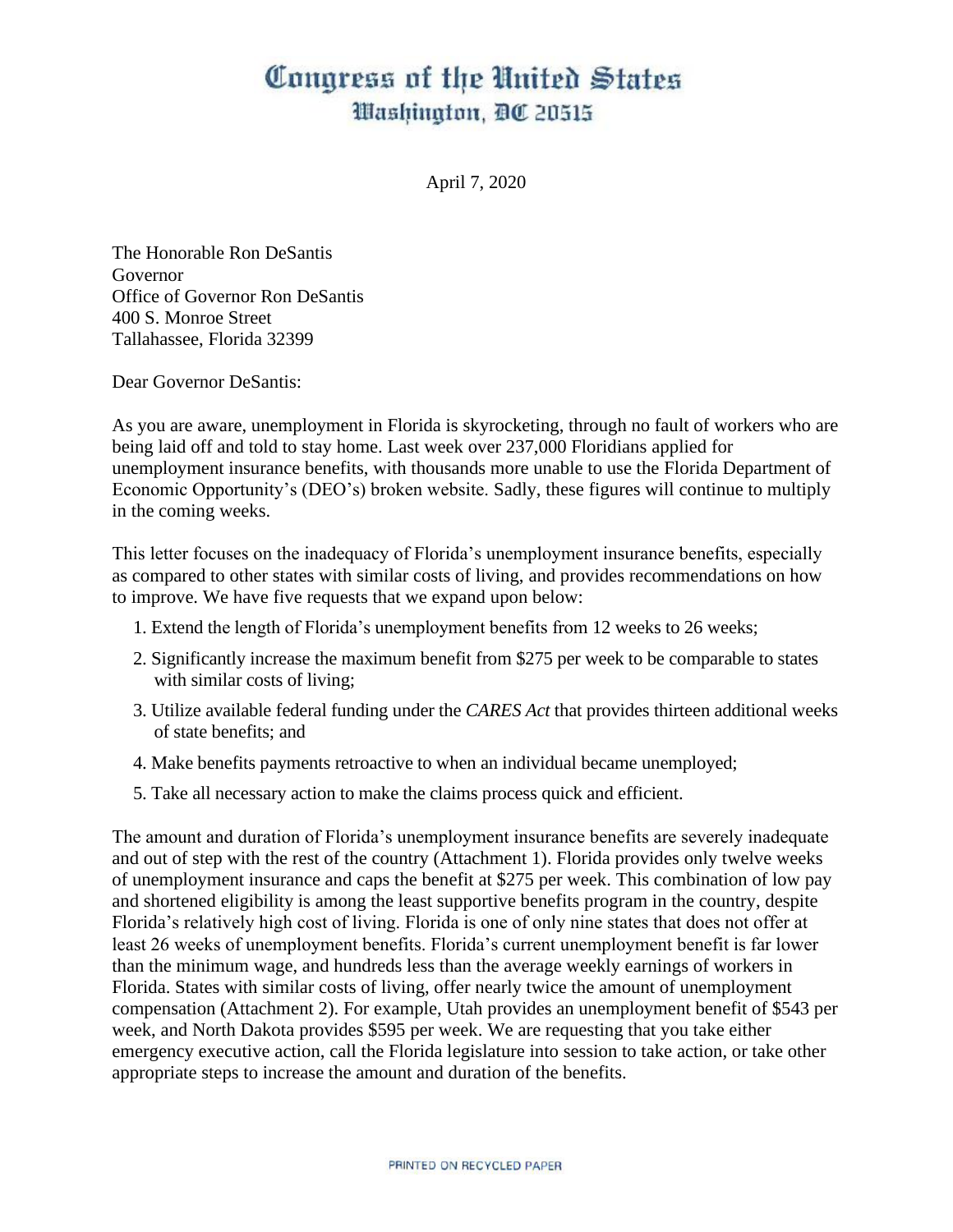## Congress of the United States Washington, DC 20515

April 7, 2020

The Honorable Ron DeSantis Governor Office of Governor Ron DeSantis 400 S. Monroe Street Tallahassee, Florida 32399

Dear Governor DeSantis:

As you are aware, unemployment in Florida is skyrocketing, through no fault of workers who are being laid off and told to stay home. Last week over 237,000 Floridians applied for unemployment insurance benefits, with thousands more unable to use the Florida Department of Economic Opportunity's (DEO's) broken website. Sadly, these figures will continue to multiply in the coming weeks.

This letter focuses on the inadequacy of Florida's unemployment insurance benefits, especially as compared to other states with similar costs of living, and provides recommendations on how to improve. We have five requests that we expand upon below:

- 1. Extend the length of Florida's unemployment benefits from 12 weeks to 26 weeks;
- 2. Significantly increase the maximum benefit from \$275 per week to be comparable to states with similar costs of living;
- 3. Utilize available federal funding under the *CARES Act* that provides thirteen additional weeks of state benefits; and
- 4. Make benefits payments retroactive to when an individual became unemployed;
- 5. Take all necessary action to make the claims process quick and efficient.

The amount and duration of Florida's unemployment insurance benefits are severely inadequate and out of step with the rest of the country (Attachment 1). Florida provides only twelve weeks of unemployment insurance and caps the benefit at \$275 per week. This combination of low pay and shortened eligibility is among the least supportive benefits program in the country, despite Florida's relatively high cost of living. Florida is one of only nine states that does not offer at least 26 weeks of unemployment benefits. Florida's current unemployment benefit is far lower than the minimum wage, and hundreds less than the average weekly earnings of workers in Florida. States with similar costs of living, offer nearly twice the amount of unemployment compensation (Attachment 2). For example, Utah provides an unemployment benefit of \$543 per week, and North Dakota provides \$595 per week. We are requesting that you take either emergency executive action, call the Florida legislature into session to take action, or take other appropriate steps to increase the amount and duration of the benefits.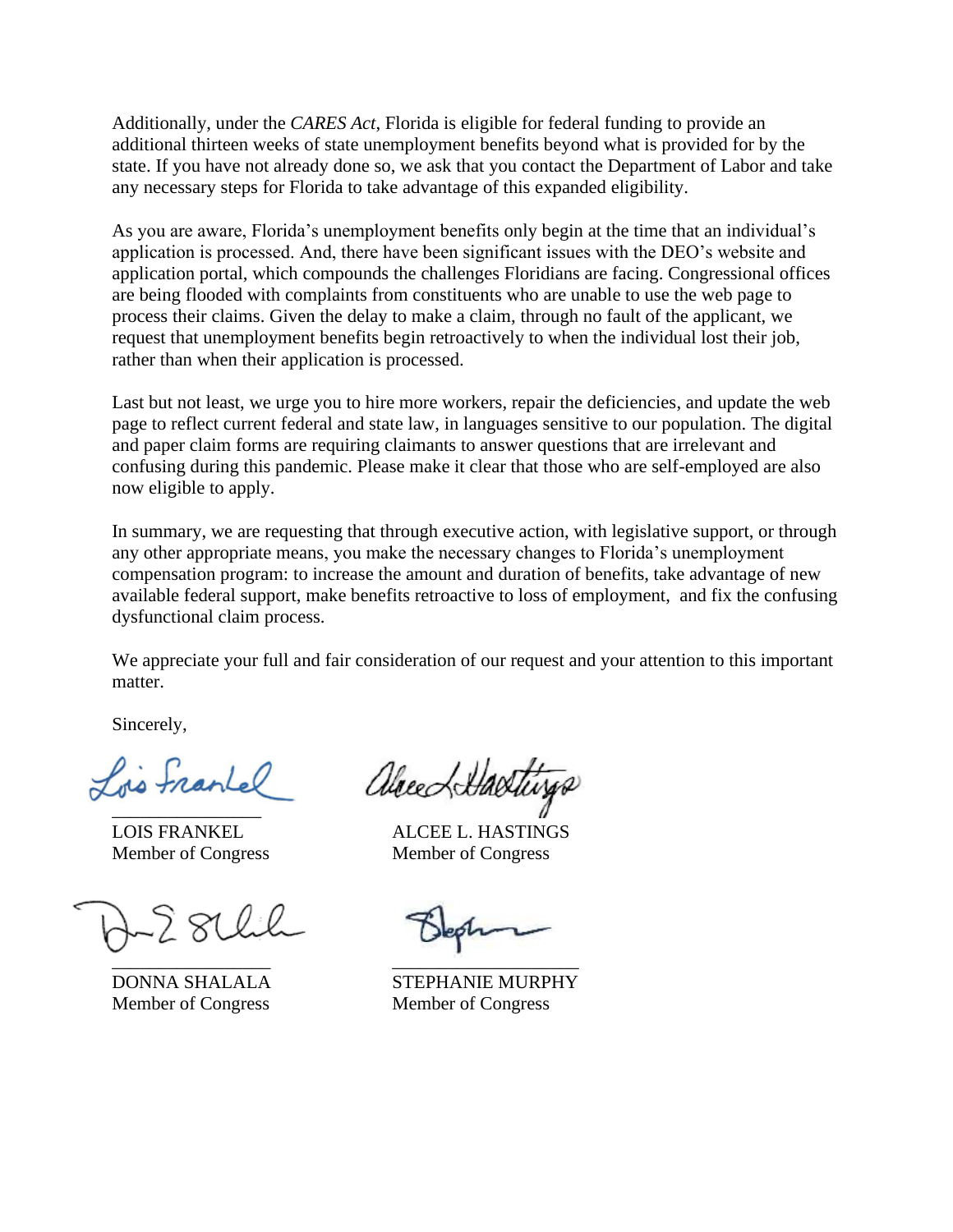Additionally, under the *CARES Act*, Florida is eligible for federal funding to provide an additional thirteen weeks of state unemployment benefits beyond what is provided for by the state. If you have not already done so, we ask that you contact the Department of Labor and take any necessary steps for Florida to take advantage of this expanded eligibility.

As you are aware, Florida's unemployment benefits only begin at the time that an individual's application is processed. And, there have been significant issues with the DEO's website and application portal, which compounds the challenges Floridians are facing. Congressional offices are being flooded with complaints from constituents who are unable to use the web page to process their claims. Given the delay to make a claim, through no fault of the applicant, we request that unemployment benefits begin retroactively to when the individual lost their job, rather than when their application is processed.

Last but not least, we urge you to hire more workers, repair the deficiencies, and update the web page to reflect current federal and state law, in languages sensitive to our population. The digital and paper claim forms are requiring claimants to answer questions that are irrelevant and confusing during this pandemic. Please make it clear that those who are self-employed are also now eligible to apply.

In summary, we are requesting that through executive action, with legislative support, or through any other appropriate means, you make the necessary changes to Florida's unemployment compensation program: to increase the amount and duration of benefits, take advantage of new available federal support, make benefits retroactive to loss of employment, and fix the confusing dysfunctional claim process.

We appreciate your full and fair consideration of our request and your attention to this important matter.

Sincerely,

Lois France

alreed Hastin  $\overline{a}$ 

LOIS FRANKEL ALCEE L. HASTINGS Member of Congress Member of Congress

\_\_\_\_\_\_\_\_\_\_\_\_\_\_\_\_\_ \_\_\_\_\_\_\_\_\_\_\_\_\_\_\_\_\_\_\_\_

DONNA SHALALA STEPHANIE MURPHY Member of Congress Member of Congress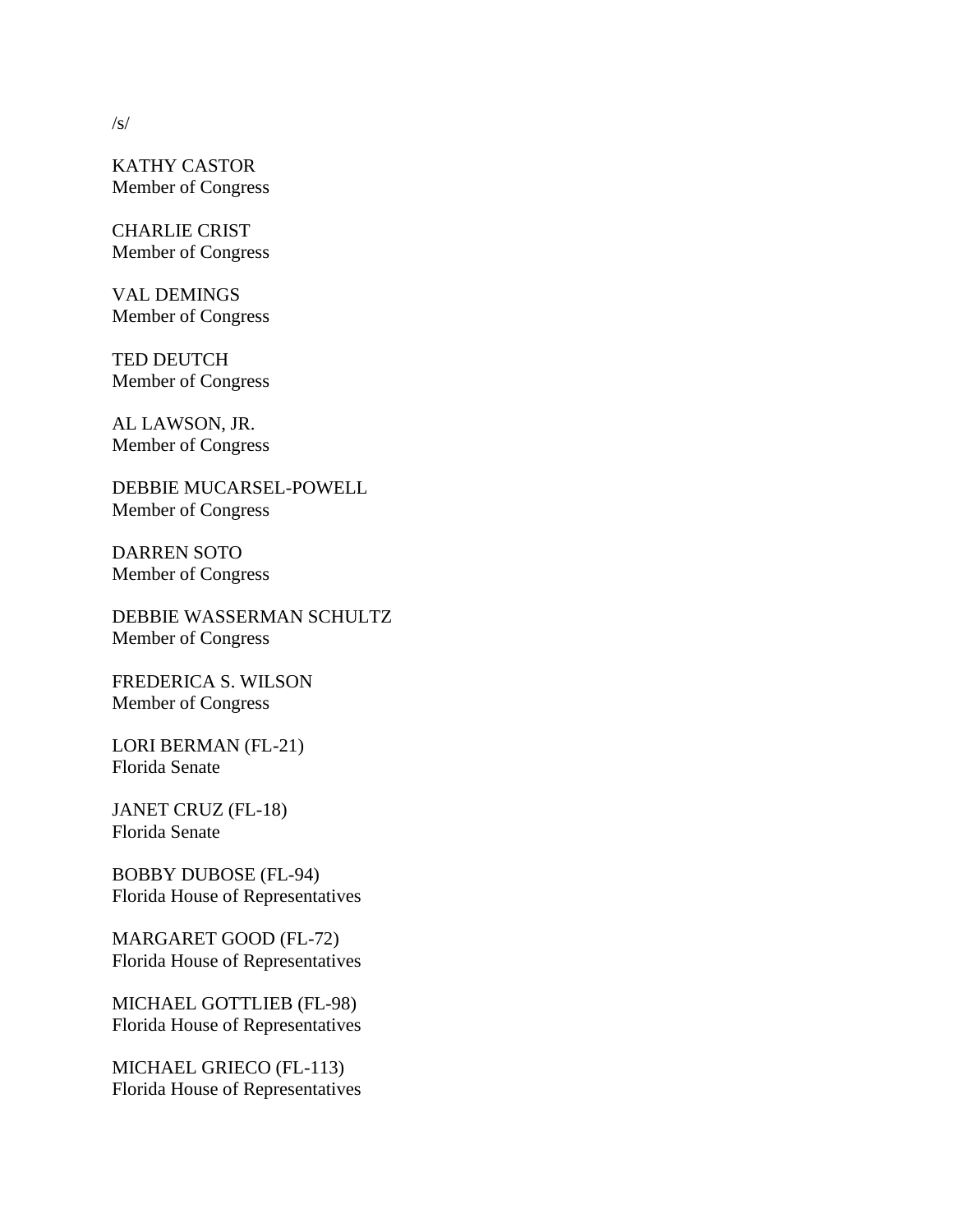KATHY CASTOR Member of Congress

CHARLIE CRIST Member of Congress

VAL DEMINGS Member of Congress

TED DEUTCH Member of Congress

AL LAWSON, JR. Member of Congress

DEBBIE MUCARSEL-POWELL Member of Congress

DARREN SOTO Member of Congress

DEBBIE WASSERMAN SCHULTZ Member of Congress

FREDERICA S. WILSON Member of Congress

LORI BERMAN (FL-21) Florida Senate

JANET CRUZ (FL-18) Florida Senate

BOBBY DUBOSE (FL-94) Florida House of Representatives

MARGARET GOOD (FL-72) Florida House of Representatives

MICHAEL GOTTLIEB (FL-98) Florida House of Representatives

MICHAEL GRIECO (FL-113) Florida House of Representatives

 $\sqrt{s}$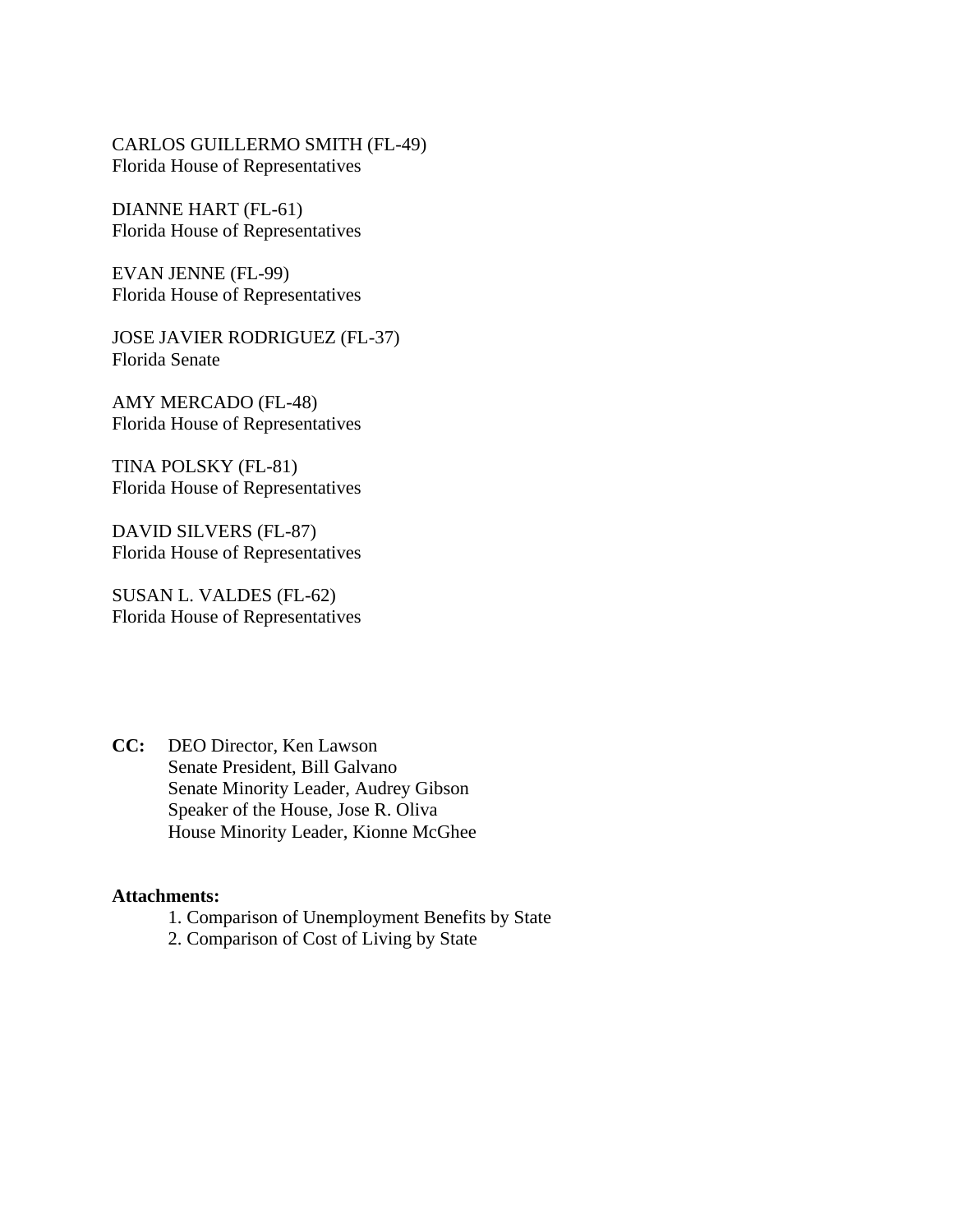CARLOS GUILLERMO SMITH (FL-49) Florida House of Representatives

DIANNE HART (FL-61) Florida House of Representatives

EVAN JENNE (FL-99) Florida House of Representatives

JOSE JAVIER RODRIGUEZ (FL-37) Florida Senate

AMY MERCADO (FL-48) Florida House of Representatives

TINA POLSKY (FL-81) Florida House of Representatives

DAVID SILVERS (FL-87) Florida House of Representatives

SUSAN L. VALDES (FL-62) Florida House of Representatives

**CC:** DEO Director, Ken Lawson Senate President, Bill Galvano Senate Minority Leader, Audrey Gibson Speaker of the House, Jose R. Oliva House Minority Leader, Kionne McGhee

## **Attachments:**

- 1. Comparison of Unemployment Benefits by State
- 2. Comparison of Cost of Living by State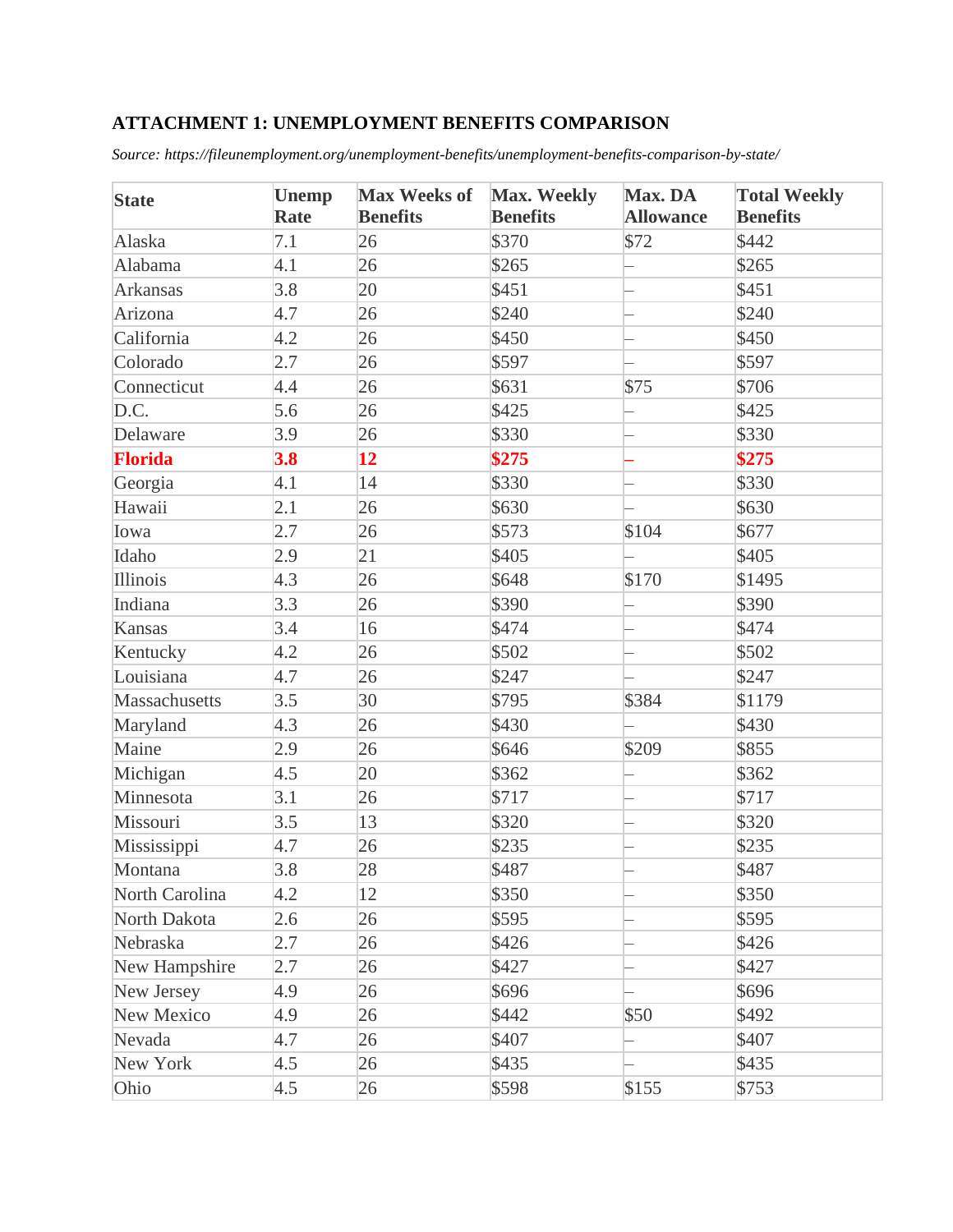## **ATTACHMENT 1: UNEMPLOYMENT BENEFITS COMPARISON**

*Source: https://fileunemployment.org/unemployment-benefits/unemployment-benefits-comparison-by-state/*

| <b>State</b>   | <b>Unemp</b><br>Rate | <b>Max Weeks of</b><br><b>Benefits</b> | Max. Weekly<br><b>Benefits</b> | Max. DA<br><b>Allowance</b> | <b>Total Weekly</b><br><b>Benefits</b> |
|----------------|----------------------|----------------------------------------|--------------------------------|-----------------------------|----------------------------------------|
| Alaska         | 7.1                  | 26                                     | \$370                          | \$72                        | \$442                                  |
| Alabama        | 4.1                  | 26                                     | \$265                          |                             | \$265                                  |
| Arkansas       | 3.8                  | 20                                     | \$451                          |                             | \$451                                  |
| Arizona        | 4.7                  | 26                                     | \$240                          |                             | \$240                                  |
| California     | 4.2                  | 26                                     | \$450                          |                             | \$450                                  |
| Colorado       | 2.7                  | 26                                     | \$597                          |                             | \$597                                  |
| Connecticut    | 4.4                  | 26                                     | \$631                          | \$75                        | \$706                                  |
| D.C.           | 5.6                  | 26                                     | \$425                          |                             | \$425                                  |
| Delaware       | 3.9                  | 26                                     | \$330                          |                             | \$330                                  |
| <b>Florida</b> | 3.8                  | 12                                     | \$275                          |                             | \$275                                  |
| Georgia        | 4.1                  | 14                                     | \$330                          |                             | \$330                                  |
| Hawaii         | 2.1                  | 26                                     | \$630                          |                             | \$630                                  |
| Iowa           | 2.7                  | 26                                     | \$573                          | \$104                       | \$677                                  |
| Idaho          | 2.9                  | 21                                     | \$405                          |                             | \$405                                  |
| Illinois       | 4.3                  | 26                                     | \$648                          | \$170                       | \$1495                                 |
| Indiana        | 3.3                  | 26                                     | \$390                          |                             | \$390                                  |
| Kansas         | 3.4                  | 16                                     | \$474                          |                             | \$474                                  |
| Kentucky       | 4.2                  | 26                                     | \$502                          |                             | \$502                                  |
| Louisiana      | 4.7                  | 26                                     | \$247                          |                             | \$247                                  |
| Massachusetts  | 3.5                  | 30                                     | \$795                          | \$384                       | \$1179                                 |
| Maryland       | 4.3                  | 26                                     | \$430                          |                             | \$430                                  |
| Maine          | 2.9                  | 26                                     | \$646                          | \$209                       | \$855                                  |
| Michigan       | 4.5                  | 20                                     | \$362                          |                             | \$362                                  |
| Minnesota      | 3.1                  | 26                                     | \$717                          |                             | \$717                                  |
| Missouri       | 3.5                  | 13                                     | \$320                          |                             | \$320                                  |
| Mississippi    | 4.7                  | 26                                     | \$235                          |                             | \$235                                  |
| Montana        | 3.8                  | 28                                     | \$487                          |                             | \$487                                  |
| North Carolina | 4.2                  | 12                                     | \$350                          |                             | \$350                                  |
| North Dakota   | 2.6                  | 26                                     | \$595                          |                             | \$595                                  |
| Nebraska       | 2.7                  | 26                                     | \$426                          |                             | \$426                                  |
| New Hampshire  | 2.7                  | 26                                     | \$427                          |                             | \$427                                  |
| New Jersey     | 4.9                  | 26                                     | \$696                          |                             | \$696                                  |
| New Mexico     | 4.9                  | 26                                     | \$442                          | \$50                        | \$492                                  |
| Nevada         | 4.7                  | 26                                     | \$407                          |                             | \$407                                  |
| New York       | 4.5                  | 26                                     | \$435                          |                             | \$435                                  |
| Ohio           | 4.5                  | 26                                     | \$598                          | \$155                       | \$753                                  |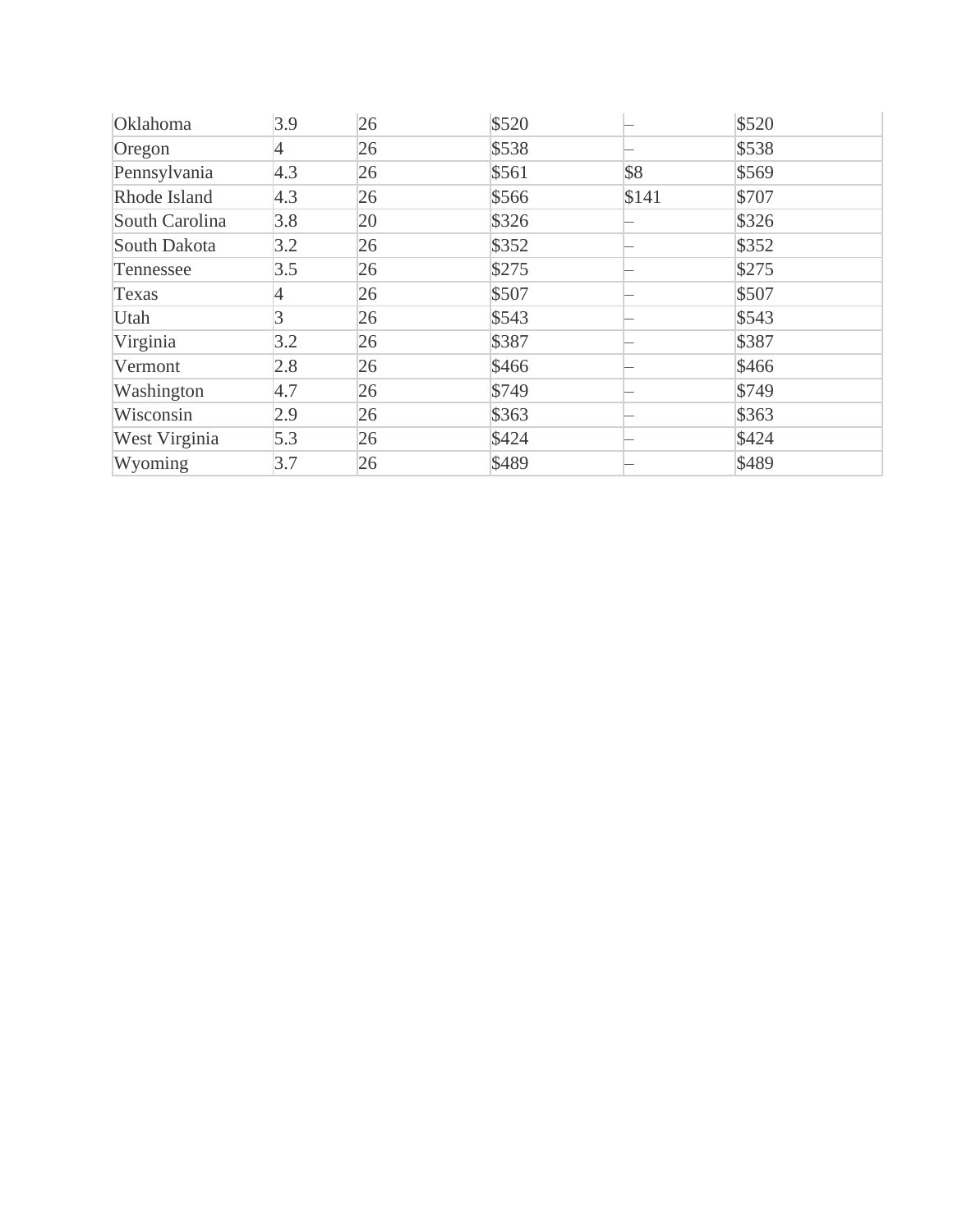| Oklahoma             | 3.9 | 26 | \$520 |       | \$520 |
|----------------------|-----|----|-------|-------|-------|
| Oregon               | 4   | 26 | \$538 |       | \$538 |
| Pennsylvania         | 4.3 | 26 | \$561 | \$8   | \$569 |
| Rhode Island         | 4.3 | 26 | \$566 | \$141 | \$707 |
| South Carolina       | 3.8 | 20 | \$326 |       | \$326 |
| South Dakota         | 3.2 | 26 | \$352 |       | \$352 |
| Tennessee            | 3.5 | 26 | \$275 |       | \$275 |
| Texas                | 4   | 26 | \$507 |       | \$507 |
| Utah                 | 3   | 26 | \$543 |       | \$543 |
| Virginia             | 3.2 | 26 | \$387 |       | \$387 |
| Vermont              | 2.8 | 26 | \$466 |       | \$466 |
| Washington           | 4.7 | 26 | \$749 |       | \$749 |
| Wisconsin            | 2.9 | 26 | \$363 |       | \$363 |
| <b>West Virginia</b> | 5.3 | 26 | \$424 |       | \$424 |
| Wyoming              | 3.7 | 26 | \$489 |       | \$489 |